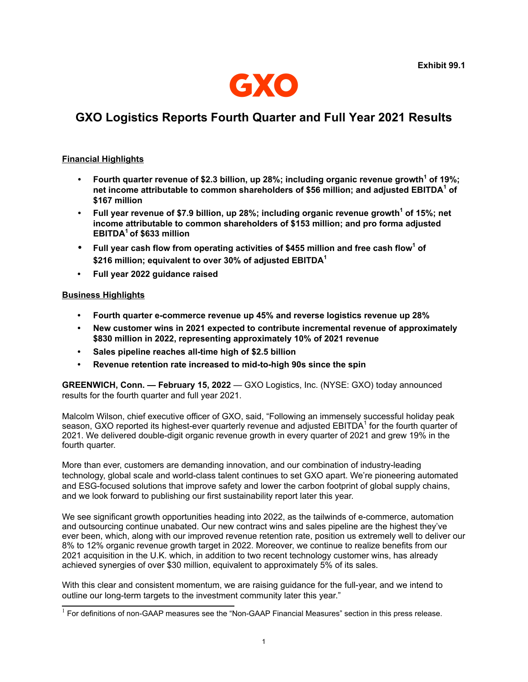

# **GXO Logistics Reports Fourth Quarter and Full Year 2021 Results**

# **Financial Highlights**

- *•* **Fourth quarter revenue of \$2.3 billion, up 28%; including organic revenue growth<sup>1</sup> of 19%; net income attributable to common shareholders of \$56 million; and adjusted EBITDA<sup>1</sup> of \$167 million**
- *•* **Full year revenue of \$7.9 billion, up 28%; including organic revenue growth<sup>1</sup> of 15%; net income attributable to common shareholders of \$153 million; and pro forma adjusted EBITDA<sup>1</sup>of \$633 million**
- *•* **Full year cash flow from operating activities of \$455 million and free cash flow<sup>1</sup> of \$216 million; equivalent to over 30% of adjusted EBITDA<sup>1</sup>**
- **• Full year 2022 guidance raised**

## **Business Highlights**

- **• Fourth quarter e-commerce revenue up 45% and reverse logistics revenue up 28%**
- **• New customer wins in 2021 expected to contribute incremental revenue of approximately \$830 million in 2022, representing approximately 10% of 2021 revenue**
- **• Sales pipeline reaches all-time high of \$2.5 billion**
- **• Revenue retention rate increased to mid-to-high 90s since the spin**

**GREENWICH, Conn. — February 15, 2022** — GXO Logistics, Inc. (NYSE: GXO) today announced results for the fourth quarter and full year 2021.

Malcolm Wilson, chief executive officer of GXO, said, "Following an immensely successful holiday peak season, GXO reported its highest-ever quarterly revenue and adjusted EBITDA<sup>1</sup> for the fourth quarter of 2021. We delivered double-digit organic revenue growth in every quarter of 2021 and grew 19% in the fourth quarter.

More than ever, customers are demanding innovation, and our combination of industry-leading technology, global scale and world-class talent continues to set GXO apart. We're pioneering automated and ESG-focused solutions that improve safety and lower the carbon footprint of global supply chains, and we look forward to publishing our first sustainability report later this year.

We see significant growth opportunities heading into 2022, as the tailwinds of e-commerce, automation and outsourcing continue unabated. Our new contract wins and sales pipeline are the highest they've ever been, which, along with our improved revenue retention rate, position us extremely well to deliver our 8% to 12% organic revenue growth target in 2022. Moreover, we continue to realize benefits from our 2021 acquisition in the U.K. which, in addition to two recent technology customer wins, has already achieved synergies of over \$30 million, equivalent to approximately 5% of its sales.

With this clear and consistent momentum, we are raising guidance for the full-year, and we intend to outline our long-term targets to the investment community later this year."

 $1$  For definitions of non-GAAP measures see the "Non-GAAP Financial Measures" section in this press release.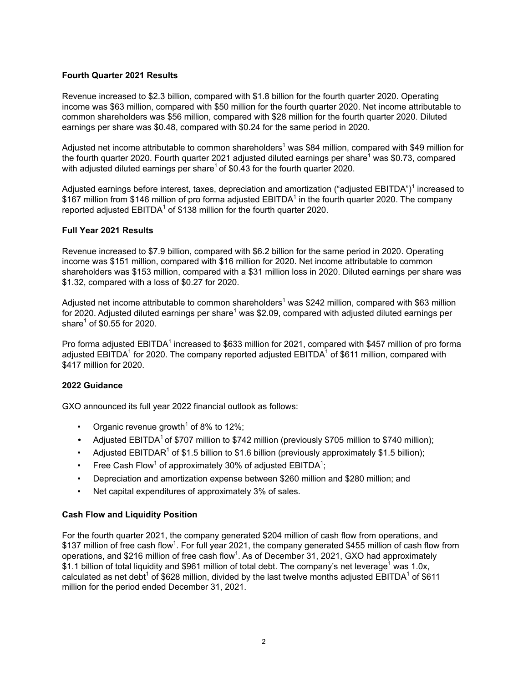## **Fourth Quarter 2021 Results**

Revenue increased to \$2.3 billion, compared with \$1.8 billion for the fourth quarter 2020. Operating income was \$63 million, compared with \$50 million for the fourth quarter 2020. Net income attributable to common shareholders was \$56 million, compared with \$28 million for the fourth quarter 2020. Diluted earnings per share was \$0.48, compared with \$0.24 for the same period in 2020.

Adjusted net income attributable to common shareholders<sup>1</sup> was \$84 million, compared with \$49 million for the fourth quarter 2020. Fourth quarter 2021 adjusted diluted earnings per share<sup>1</sup> was \$0.73, compared with adjusted diluted earnings per share<sup>1</sup> of \$0.43 for the fourth quarter 2020.

Adjusted earnings before interest, taxes, depreciation and amortization ("adjusted EBITDA")<sup>1</sup> increased to  $$167$  million from  $$146$  million of pro forma adjusted EBITDA<sup>1</sup> in the fourth quarter 2020. The company reported adjusted  $EBITDA<sup>1</sup>$  of \$138 million for the fourth quarter 2020.

#### **Full Year 2021 Results**

Revenue increased to \$7.9 billion, compared with \$6.2 billion for the same period in 2020. Operating income was \$151 million, compared with \$16 million for 2020. Net income attributable to common shareholders was \$153 million, compared with a \$31 million loss in 2020. Diluted earnings per share was \$1.32, compared with a loss of \$0.27 for 2020.

Adjusted net income attributable to common shareholders<sup>1</sup> was \$242 million, compared with \$63 million for 2020. Adjusted diluted earnings per share<sup>1</sup> was \$2.09, compared with adjusted diluted earnings per share $^1$  of  $$0.55$  for 2020.

Pro forma adjusted EBITDA<sup>1</sup> increased to \$633 million for 2021, compared with \$457 million of pro forma adjusted EBITDA $^1$  for 2020. The company reported adjusted EBITDA $^1$  of \$611 million, compared with \$417 million for 2020.

## **2022 Guidance**

GXO announced its full year 2022 financial outlook as follows:

- Organic revenue growth<sup>1</sup> of 8% to 12%;
- Adjusted EBITDA<sup>1</sup> of \$707 million to \$742 million (previously \$705 million to \$740 million);
- Adjusted EBITDAR<sup>1</sup> of \$1.5 billion to \$1.6 billion (previously approximately \$1.5 billion);
- Free Cash Flow<sup>1</sup> of approximately 30% of adjusted EBITDA<sup>1</sup>;
- Depreciation and amortization expense between \$260 million and \$280 million; and
- Net capital expenditures of approximately 3% of sales.

## **Cash Flow and Liquidity Position**

For the fourth quarter 2021, the company generated \$204 million of cash flow from operations, and  $$137$  million of free cash flow<sup>1</sup>. For full year 2021, the company generated \$455 million of cash flow from operations, and \$216 million of free cash flow<sup>1</sup>. As of December 31, 2021, GXO had approximately  $\$1.1$  billion of total liquidity and  $\$961$  million of total debt. The company's net leverage $^1$  was 1.0x, calculated as net debt<sup>1</sup> of \$628 million, divided by the last twelve months adjusted EBITDA<sup>1</sup> of \$611 million for the period ended December 31, 2021.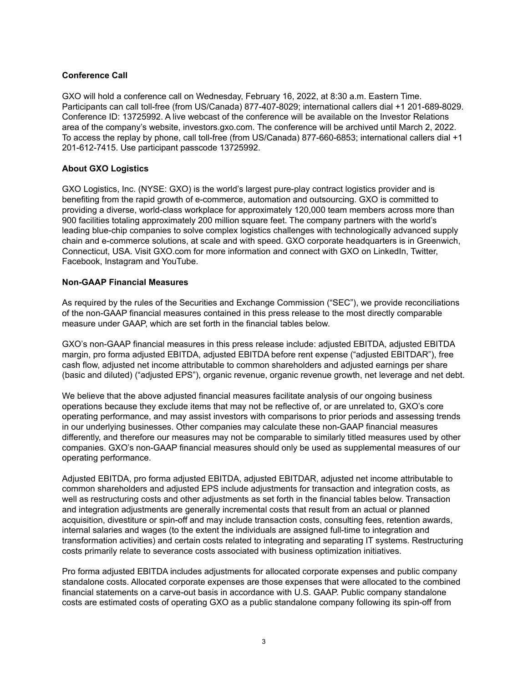## **Conference Call**

GXO will hold a conference call on Wednesday, February 16, 2022, at 8:30 a.m. Eastern Time. Participants can call toll-free (from US/Canada) 877-407-8029; international callers dial +1 201-689-8029. Conference ID: 13725992. A live webcast of the conference will be available on the Investor Relations area of the company's website, investors.gxo.com. The conference will be archived until March 2, 2022. To access the replay by phone, call toll-free (from US/Canada) 877-660-6853; international callers dial +1 201-612-7415. Use participant passcode 13725992.

## **About GXO Logistics**

GXO Logistics, Inc. (NYSE: GXO) is the world's largest pure-play contract logistics provider and is benefiting from the rapid growth of e-commerce, automation and outsourcing. GXO is committed to providing a diverse, world-class workplace for approximately 120,000 team members across more than 900 facilities totaling approximately 200 million square feet. The company partners with the world's leading blue-chip companies to solve complex logistics challenges with technologically advanced supply chain and e-commerce solutions, at scale and with speed. GXO corporate headquarters is in Greenwich, Connecticut, USA. Visit GXO.com for more information and connect with GXO on LinkedIn, Twitter, Facebook, Instagram and YouTube.

#### **Non-GAAP Financial Measures**

As required by the rules of the Securities and Exchange Commission ("SEC"), we provide reconciliations of the non-GAAP financial measures contained in this press release to the most directly comparable measure under GAAP, which are set forth in the financial tables below.

GXO's non-GAAP financial measures in this press release include: adjusted EBITDA, adjusted EBITDA margin, pro forma adjusted EBITDA, adjusted EBITDA before rent expense ("adjusted EBITDAR"), free cash flow, adjusted net income attributable to common shareholders and adjusted earnings per share (basic and diluted) ("adjusted EPS"), organic revenue, organic revenue growth, net leverage and net debt.

We believe that the above adjusted financial measures facilitate analysis of our ongoing business operations because they exclude items that may not be reflective of, or are unrelated to, GXO's core operating performance, and may assist investors with comparisons to prior periods and assessing trends in our underlying businesses. Other companies may calculate these non-GAAP financial measures differently, and therefore our measures may not be comparable to similarly titled measures used by other companies. GXO's non-GAAP financial measures should only be used as supplemental measures of our operating performance.

Adjusted EBITDA, pro forma adjusted EBITDA, adjusted EBITDAR, adjusted net income attributable to common shareholders and adjusted EPS include adjustments for transaction and integration costs, as well as restructuring costs and other adjustments as set forth in the financial tables below. Transaction and integration adjustments are generally incremental costs that result from an actual or planned acquisition, divestiture or spin-off and may include transaction costs, consulting fees, retention awards, internal salaries and wages (to the extent the individuals are assigned full-time to integration and transformation activities) and certain costs related to integrating and separating IT systems. Restructuring costs primarily relate to severance costs associated with business optimization initiatives.

Pro forma adjusted EBITDA includes adjustments for allocated corporate expenses and public company standalone costs. Allocated corporate expenses are those expenses that were allocated to the combined financial statements on a carve-out basis in accordance with U.S. GAAP. Public company standalone costs are estimated costs of operating GXO as a public standalone company following its spin-off from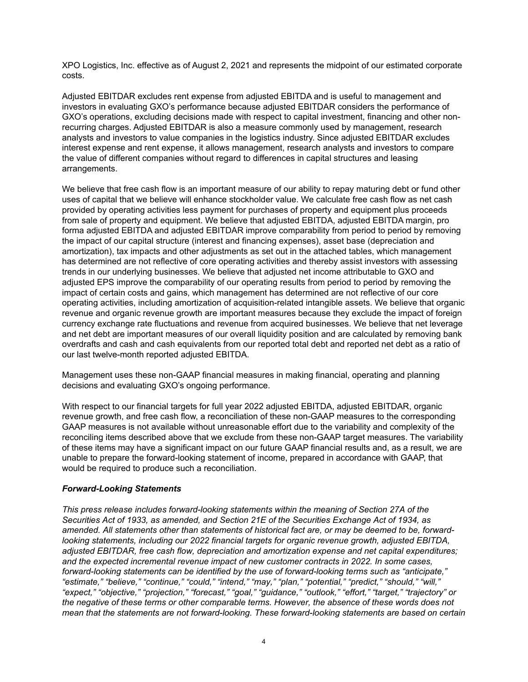XPO Logistics, Inc. effective as of August 2, 2021 and represents the midpoint of our estimated corporate costs.

Adjusted EBITDAR excludes rent expense from adjusted EBITDA and is useful to management and investors in evaluating GXO's performance because adjusted EBITDAR considers the performance of GXO's operations, excluding decisions made with respect to capital investment, financing and other nonrecurring charges. Adjusted EBITDAR is also a measure commonly used by management, research analysts and investors to value companies in the logistics industry. Since adjusted EBITDAR excludes interest expense and rent expense, it allows management, research analysts and investors to compare the value of different companies without regard to differences in capital structures and leasing arrangements.

We believe that free cash flow is an important measure of our ability to repay maturing debt or fund other uses of capital that we believe will enhance stockholder value. We calculate free cash flow as net cash provided by operating activities less payment for purchases of property and equipment plus proceeds from sale of property and equipment. We believe that adjusted EBITDA, adjusted EBITDA margin, pro forma adjusted EBITDA and adjusted EBITDAR improve comparability from period to period by removing the impact of our capital structure (interest and financing expenses), asset base (depreciation and amortization), tax impacts and other adjustments as set out in the attached tables, which management has determined are not reflective of core operating activities and thereby assist investors with assessing trends in our underlying businesses. We believe that adjusted net income attributable to GXO and adjusted EPS improve the comparability of our operating results from period to period by removing the impact of certain costs and gains, which management has determined are not reflective of our core operating activities, including amortization of acquisition-related intangible assets. We believe that organic revenue and organic revenue growth are important measures because they exclude the impact of foreign currency exchange rate fluctuations and revenue from acquired businesses. We believe that net leverage and net debt are important measures of our overall liquidity position and are calculated by removing bank overdrafts and cash and cash equivalents from our reported total debt and reported net debt as a ratio of our last twelve-month reported adjusted EBITDA.

Management uses these non-GAAP financial measures in making financial, operating and planning decisions and evaluating GXO's ongoing performance.

With respect to our financial targets for full year 2022 adjusted EBITDA, adjusted EBITDAR, organic revenue growth, and free cash flow, a reconciliation of these non-GAAP measures to the corresponding GAAP measures is not available without unreasonable effort due to the variability and complexity of the reconciling items described above that we exclude from these non-GAAP target measures. The variability of these items may have a significant impact on our future GAAP financial results and, as a result, we are unable to prepare the forward-looking statement of income, prepared in accordance with GAAP, that would be required to produce such a reconciliation.

#### *Forward-Looking Statements*

*This press release includes forward-looking statements within the meaning of Section 27A of the Securities Act of 1933, as amended, and Section 21E of the Securities Exchange Act of 1934, as amended. All statements other than statements of historical fact are, or may be deemed to be, forwardlooking statements, including our 2022 financial targets for organic revenue growth, adjusted EBITDA, adjusted EBITDAR, free cash flow, depreciation and amortization expense and net capital expenditures; and the expected incremental revenue impact of new customer contracts in 2022. In some cases, forward-looking statements can be identified by the use of forward-looking terms such as "anticipate," "estimate," "believe," "continue," "could," "intend," "may," "plan," "potential," "predict," "should," "will," "expect," "objective," "projection," "forecast," "goal," "guidance," "outlook," "effort," "target," "trajectory" or the negative of these terms or other comparable terms. However, the absence of these words does not mean that the statements are not forward-looking. These forward-looking statements are based on certain*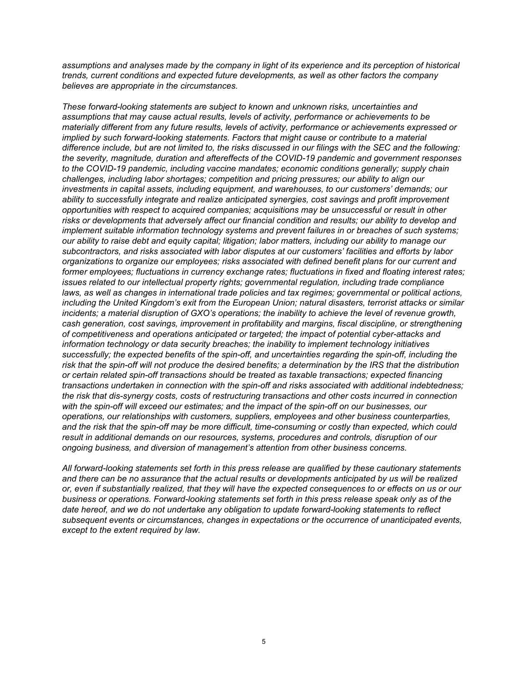*assumptions and analyses made by the company in light of its experience and its perception of historical trends, current conditions and expected future developments, as well as other factors the company believes are appropriate in the circumstances.*

*These forward-looking statements are subject to known and unknown risks, uncertainties and assumptions that may cause actual results, levels of activity, performance or achievements to be materially different from any future results, levels of activity, performance or achievements expressed or implied by such forward-looking statements. Factors that might cause or contribute to a material difference include, but are not limited to, the risks discussed in our filings with the SEC and the following: the severity, magnitude, duration and aftereffects of the COVID-19 pandemic and government responses to the COVID-19 pandemic, including vaccine mandates; economic conditions generally; supply chain challenges, including labor shortages; competition and pricing pressures; our ability to align our investments in capital assets, including equipment, and warehouses, to our customers' demands; our ability to successfully integrate and realize anticipated synergies, cost savings and profit improvement opportunities with respect to acquired companies; acquisitions may be unsuccessful or result in other risks or developments that adversely affect our financial condition and results; our ability to develop and implement suitable information technology systems and prevent failures in or breaches of such systems; our ability to raise debt and equity capital; litigation; labor matters, including our ability to manage our subcontractors, and risks associated with labor disputes at our customers' facilities and efforts by labor organizations to organize our employees; risks associated with defined benefit plans for our current and former employees; fluctuations in currency exchange rates; fluctuations in fixed and floating interest rates; issues related to our intellectual property rights; governmental regulation, including trade compliance laws, as well as changes in international trade policies and tax regimes; governmental or political actions, including the United Kingdom's exit from the European Union; natural disasters, terrorist attacks or similar incidents; a material disruption of GXO's operations; the inability to achieve the level of revenue growth, cash generation, cost savings, improvement in profitability and margins, fiscal discipline, or strengthening of competitiveness and operations anticipated or targeted; the impact of potential cyber-attacks and information technology or data security breaches; the inability to implement technology initiatives successfully; the expected benefits of the spin-off, and uncertainties regarding the spin-off, including the risk that the spin-off will not produce the desired benefits; a determination by the IRS that the distribution or certain related spin-off transactions should be treated as taxable transactions; expected financing transactions undertaken in connection with the spin-off and risks associated with additional indebtedness; the risk that dis-synergy costs, costs of restructuring transactions and other costs incurred in connection with the spin-off will exceed our estimates; and the impact of the spin-off on our businesses, our operations, our relationships with customers, suppliers, employees and other business counterparties, and the risk that the spin-off may be more difficult, time-consuming or costly than expected, which could result in additional demands on our resources, systems, procedures and controls, disruption of our ongoing business, and diversion of management's attention from other business concerns.*

*All forward-looking statements set forth in this press release are qualified by these cautionary statements and there can be no assurance that the actual results or developments anticipated by us will be realized or, even if substantially realized, that they will have the expected consequences to or effects on us or our business or operations. Forward-looking statements set forth in this press release speak only as of the date hereof, and we do not undertake any obligation to update forward-looking statements to reflect subsequent events or circumstances, changes in expectations or the occurrence of unanticipated events, except to the extent required by law.*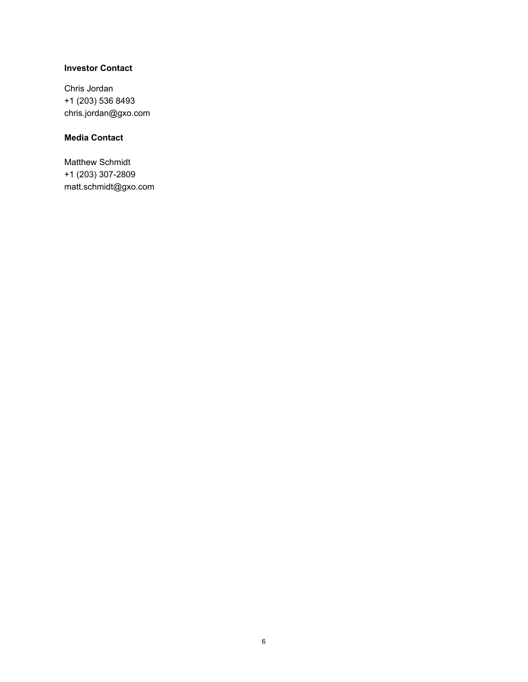# **Investor Contact**

Chris Jordan +1 (203) 536 8493 chris.jordan@gxo.com

# **Media Contact**

Matthew Schmidt +1 (203) 307-2809 matt.schmidt@gxo.com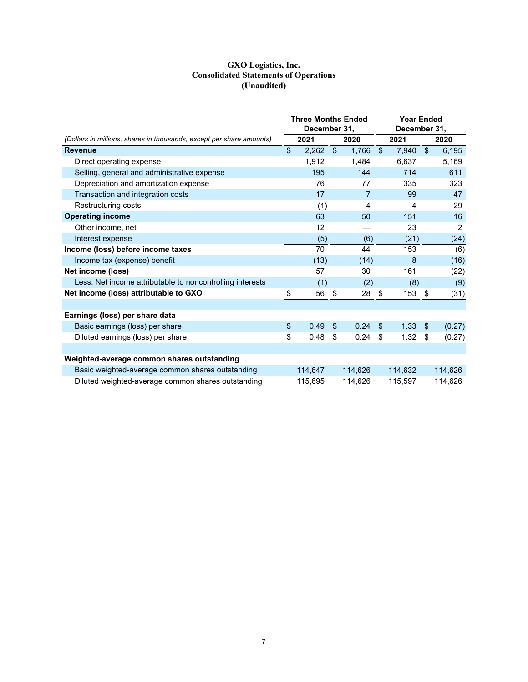#### **GXO Logistics, Inc. Consolidated Statements of Operations (Unaudited)**

|                                                                      | <b>Three Months Ended</b><br>December 31, |            |         |                         | <b>Year Ended</b><br>December 31, |                         |         |  |
|----------------------------------------------------------------------|-------------------------------------------|------------|---------|-------------------------|-----------------------------------|-------------------------|---------|--|
| (Dollars in millions, shares in thousands, except per share amounts) | 2021                                      |            | 2020    |                         | 2021                              |                         | 2020    |  |
| <b>Revenue</b>                                                       | \$<br>2,262                               | $\sqrt{3}$ | 1,766   | $\sqrt[6]{\frac{1}{2}}$ | 7,940                             | $\sqrt[6]{\frac{1}{2}}$ | 6,195   |  |
| Direct operating expense                                             | 1,912                                     |            | 1,484   |                         | 6,637                             |                         | 5,169   |  |
| Selling, general and administrative expense                          | 195                                       |            | 144     |                         | 714                               |                         | 611     |  |
| Depreciation and amortization expense                                | 76                                        |            | 77      |                         | 335                               |                         | 323     |  |
| Transaction and integration costs                                    | 17                                        |            | 7       |                         | 99                                |                         | 47      |  |
| Restructuring costs                                                  | (1)                                       |            | 4       |                         | 4                                 |                         | 29      |  |
| <b>Operating income</b>                                              | 63                                        |            | 50      |                         | 151                               |                         | 16      |  |
| Other income, net                                                    | 12                                        |            |         |                         | 23                                |                         | 2       |  |
| Interest expense                                                     | (5)                                       |            | (6)     |                         | (21)                              |                         | (24)    |  |
| Income (loss) before income taxes                                    | 70                                        |            | 44      |                         | 153                               |                         | (6)     |  |
| Income tax (expense) benefit                                         | (13)                                      |            | (14)    |                         | 8                                 |                         | (16)    |  |
| Net income (loss)                                                    | 57                                        |            | 30      |                         | 161                               |                         | (22)    |  |
| Less: Net income attributable to noncontrolling interests            | (1)                                       |            | (2)     |                         | (8)                               |                         | (9)     |  |
| Net income (loss) attributable to GXO                                | \$<br>56                                  | \$         | 28      | \$                      | 153                               | \$                      | (31)    |  |
|                                                                      |                                           |            |         |                         |                                   |                         |         |  |
| Earnings (loss) per share data                                       |                                           |            |         |                         |                                   |                         |         |  |
| Basic earnings (loss) per share                                      | \$<br>0.49                                | \$         | 0.24    | \$                      | 1.33                              | \$.                     | (0.27)  |  |
| Diluted earnings (loss) per share                                    | \$<br>0.48                                | \$         | 0.24    | \$                      | 1.32                              | \$                      | (0.27)  |  |
|                                                                      |                                           |            |         |                         |                                   |                         |         |  |
| Weighted-average common shares outstanding                           |                                           |            |         |                         |                                   |                         |         |  |
| Basic weighted-average common shares outstanding                     | 114,647                                   |            | 114,626 |                         | 114,632                           |                         | 114,626 |  |
| Diluted weighted-average common shares outstanding                   | 115,695                                   |            | 114,626 |                         | 115,597                           |                         | 114,626 |  |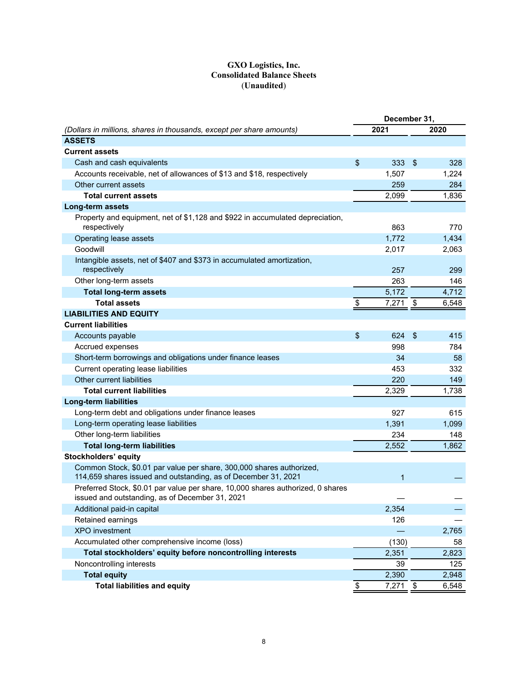## **GXO Logistics, Inc. Consolidated Balance Sheets** (**Unaudited**)

|                                                                                                                                        | December 31, |            |               |       |
|----------------------------------------------------------------------------------------------------------------------------------------|--------------|------------|---------------|-------|
| (Dollars in millions, shares in thousands, except per share amounts)                                                                   |              | 2021       |               | 2020  |
| <b>ASSETS</b>                                                                                                                          |              |            |               |       |
| <b>Current assets</b>                                                                                                                  |              |            |               |       |
| Cash and cash equivalents                                                                                                              | \$           | 333        | $\frac{1}{2}$ | 328   |
| Accounts receivable, net of allowances of \$13 and \$18, respectively                                                                  |              | 1,507      |               | 1,224 |
| Other current assets                                                                                                                   |              | 259        |               | 284   |
| <b>Total current assets</b>                                                                                                            |              | 2,099      |               | 1,836 |
| Long-term assets                                                                                                                       |              |            |               |       |
| Property and equipment, net of \$1,128 and \$922 in accumulated depreciation,<br>respectively                                          |              | 863        |               | 770   |
| Operating lease assets                                                                                                                 |              | 1,772      |               | 1,434 |
| Goodwill                                                                                                                               |              | 2,017      |               | 2,063 |
| Intangible assets, net of \$407 and \$373 in accumulated amortization,<br>respectively                                                 |              | 257        |               | 299   |
| Other long-term assets                                                                                                                 |              | 263        |               | 146   |
| <b>Total long-term assets</b>                                                                                                          |              | 5,172      |               | 4,712 |
| <b>Total assets</b>                                                                                                                    | \$           | 7,271      | \$            | 6,548 |
| <b>LIABILITIES AND EQUITY</b>                                                                                                          |              |            |               |       |
| <b>Current liabilities</b>                                                                                                             |              |            |               |       |
| Accounts payable                                                                                                                       | \$           | 624        | $\frac{1}{2}$ | 415   |
| Accrued expenses                                                                                                                       |              | 998        |               | 784   |
| Short-term borrowings and obligations under finance leases                                                                             |              | 34         |               | 58    |
| Current operating lease liabilities                                                                                                    |              | 453        |               | 332   |
| Other current liabilities                                                                                                              |              | 220        |               | 149   |
| <b>Total current liabilities</b>                                                                                                       |              | 2,329      |               | 1,738 |
| <b>Long-term liabilities</b>                                                                                                           |              |            |               |       |
| Long-term debt and obligations under finance leases                                                                                    |              | 927        |               | 615   |
| Long-term operating lease liabilities                                                                                                  |              | 1,391      |               | 1,099 |
| Other long-term liabilities                                                                                                            |              | 234        |               | 148   |
| <b>Total long-term liabilities</b>                                                                                                     |              | 2,552      |               | 1,862 |
| <b>Stockholders' equity</b>                                                                                                            |              |            |               |       |
| Common Stock, \$0.01 par value per share, 300,000 shares authorized,<br>114,659 shares issued and outstanding, as of December 31, 2021 |              | 1          |               |       |
| Preferred Stock, \$0.01 par value per share, 10,000 shares authorized, 0 shares<br>issued and outstanding, as of December 31, 2021     |              |            |               |       |
| Additional paid-in capital                                                                                                             |              | 2,354      |               |       |
| Retained earnings                                                                                                                      |              | 126        |               |       |
| <b>XPO</b> investment                                                                                                                  |              |            |               | 2,765 |
| Accumulated other comprehensive income (loss)                                                                                          |              | (130)      |               | 58    |
| Total stockholders' equity before noncontrolling interests                                                                             |              | 2,351      |               | 2,823 |
| Noncontrolling interests                                                                                                               |              | 39         |               | 125   |
| <b>Total equity</b>                                                                                                                    |              | 2,390      |               | 2,948 |
| <b>Total liabilities and equity</b>                                                                                                    | \$           | $7,271$ \$ |               | 6,548 |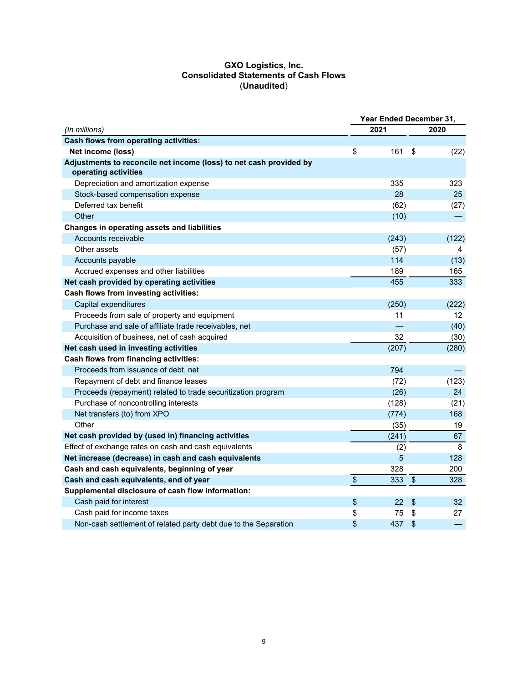#### **GXO Logistics, Inc. Consolidated Statements of Cash Flows** (**Unaudited**)

|                                                                                            | Year Ended December 31, |       |                           |                 |
|--------------------------------------------------------------------------------------------|-------------------------|-------|---------------------------|-----------------|
| (In millions)                                                                              |                         | 2021  |                           | 2020            |
| <b>Cash flows from operating activities:</b>                                               |                         |       |                           |                 |
| Net income (loss)                                                                          | \$                      | 161   | \$                        | (22)            |
| Adjustments to reconcile net income (loss) to net cash provided by<br>operating activities |                         |       |                           |                 |
| Depreciation and amortization expense                                                      |                         | 335   |                           | 323             |
| Stock-based compensation expense                                                           |                         | 28    |                           | 25              |
| Deferred tax benefit                                                                       |                         | (62)  |                           | (27)            |
| Other                                                                                      |                         | (10)  |                           |                 |
| Changes in operating assets and liabilities                                                |                         |       |                           |                 |
| Accounts receivable                                                                        |                         | (243) |                           | (122)           |
| Other assets                                                                               |                         | (57)  |                           | 4               |
| Accounts payable                                                                           |                         | 114   |                           | (13)            |
| Accrued expenses and other liabilities                                                     |                         | 189   |                           | 165             |
| Net cash provided by operating activities                                                  |                         | 455   |                           | 333             |
| Cash flows from investing activities:                                                      |                         |       |                           |                 |
| Capital expenditures                                                                       |                         | (250) |                           | (222)           |
| Proceeds from sale of property and equipment                                               |                         | 11    |                           | 12 <sup>2</sup> |
| Purchase and sale of affiliate trade receivables, net                                      |                         |       |                           | (40)            |
| Acquisition of business, net of cash acquired                                              |                         | 32    |                           | (30)            |
| Net cash used in investing activities                                                      |                         | (207) |                           | (280)           |
| <b>Cash flows from financing activities:</b>                                               |                         |       |                           |                 |
| Proceeds from issuance of debt, net                                                        |                         | 794   |                           |                 |
| Repayment of debt and finance leases                                                       |                         | (72)  |                           | (123)           |
| Proceeds (repayment) related to trade securitization program                               |                         | (26)  |                           | 24              |
| Purchase of noncontrolling interests                                                       |                         | (128) |                           | (21)            |
| Net transfers (to) from XPO                                                                |                         | (774) |                           | 168             |
| Other                                                                                      |                         | (35)  |                           | 19              |
| Net cash provided by (used in) financing activities                                        |                         | (241) |                           | 67              |
| Effect of exchange rates on cash and cash equivalents                                      |                         | (2)   |                           | 8               |
| Net increase (decrease) in cash and cash equivalents                                       |                         | 5     |                           | 128             |
| Cash and cash equivalents, beginning of year                                               |                         | 328   |                           | 200             |
| Cash and cash equivalents, end of year                                                     | $\overline{\$}$         | 333   | $\sqrt[6]{\frac{1}{2}}$   | 328             |
| Supplemental disclosure of cash flow information:                                          |                         |       |                           |                 |
| Cash paid for interest                                                                     | \$                      | 22    | $\boldsymbol{\mathsf{S}}$ | 32 <sub>2</sub> |
| Cash paid for income taxes                                                                 | \$                      | 75    | \$                        | 27              |
| Non-cash settlement of related party debt due to the Separation                            | \$                      | 437   | \$                        |                 |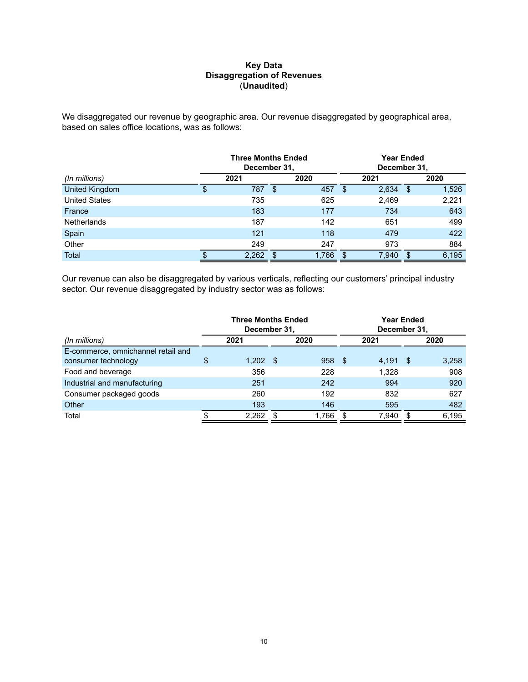#### **Key Data Disaggregation of Revenues** (**Unaudited**)

We disaggregated our revenue by geographic area. Our revenue disaggregated by geographical area, based on sales office locations, was as follows:

|                      | <b>Three Months Ended</b><br>December 31, |     |       | Year Ended<br>December 31, |       |      |       |  |
|----------------------|-------------------------------------------|-----|-------|----------------------------|-------|------|-------|--|
| (In millions)        | 2021                                      |     | 2020  |                            | 2021  |      | 2020  |  |
| United Kingdom       | \$<br>787                                 | -\$ | 457   | - \$                       | 2,634 | - \$ | 1,526 |  |
| <b>United States</b> | 735                                       |     | 625   |                            | 2,469 |      | 2,221 |  |
| France               | 183                                       |     | 177   |                            | 734   |      | 643   |  |
| <b>Netherlands</b>   | 187                                       |     | 142   |                            | 651   |      | 499   |  |
| Spain                | 121                                       |     | 118   |                            | 479   |      | 422   |  |
| Other                | 249                                       |     | 247   |                            | 973   |      | 884   |  |
| Total                | \$<br>2,262                               | S   | 1.766 | \$                         | 7,940 | \$   | 6,195 |  |

Our revenue can also be disaggregated by various verticals, reflecting our customers' principal industry sector. Our revenue disaggregated by industry sector was as follows:

|                                                           |      | <b>Three Months Ended</b><br>December 31, |      |       |      | December 31, |      | Year Ended |  |      |
|-----------------------------------------------------------|------|-------------------------------------------|------|-------|------|--------------|------|------------|--|------|
| (In millions)                                             | 2021 |                                           |      |       | 2020 |              |      | 2021       |  | 2020 |
| E-commerce, omnichannel retail and<br>consumer technology | S    | 1,202                                     | - \$ | 958   | - \$ | 4,191        | - \$ | 3,258      |  |      |
| Food and beverage                                         |      | 356                                       |      | 228   |      | 1.328        |      | 908        |  |      |
| Industrial and manufacturing                              |      | 251                                       |      | 242   |      | 994          |      | 920        |  |      |
| Consumer packaged goods                                   |      | 260                                       |      | 192   |      | 832          |      | 627        |  |      |
| Other                                                     |      | 193                                       |      | 146   |      | 595          |      | 482        |  |      |
| Total                                                     |      | 2,262                                     |      | 1,766 |      | 7,940        |      | 6,195      |  |      |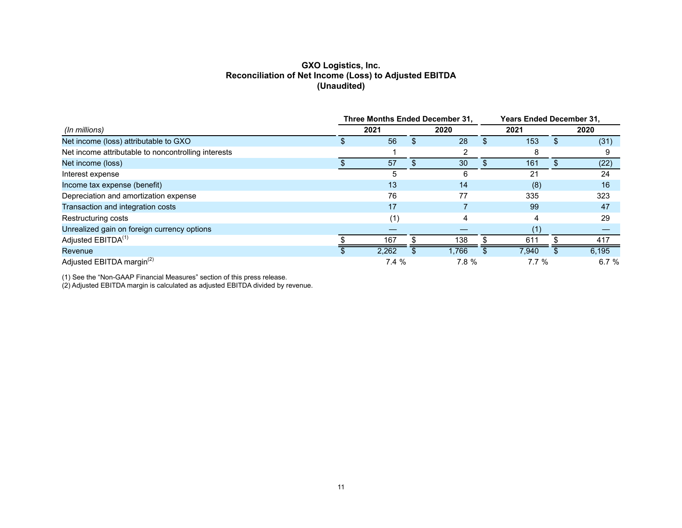## **GXO Logistics, Inc. Reconciliation of Net Income (Loss) to Adjusted EBITDA (Unaudited)**

|                                                     | Three Months Ended December 31, |       |  |       | <b>Years Ended December 31,</b> |                 |  |       |
|-----------------------------------------------------|---------------------------------|-------|--|-------|---------------------------------|-----------------|--|-------|
| (In millions)                                       |                                 | 2021  |  | 2020  |                                 | 2021            |  | 2020  |
| Net income (loss) attributable to GXO               |                                 | 56    |  | 28    |                                 | 153             |  | (31)  |
| Net income attributable to noncontrolling interests |                                 |       |  |       |                                 | 8               |  |       |
| Net income (loss)                                   |                                 | 57    |  | 30    |                                 | 161             |  | (22)  |
| Interest expense                                    |                                 | 5     |  | 6     |                                 | 21              |  | 24    |
| Income tax expense (benefit)                        |                                 | 13    |  | 14    |                                 | (8)             |  | 16    |
| Depreciation and amortization expense               |                                 | 76    |  | 77    |                                 | 335             |  | 323   |
| Transaction and integration costs                   |                                 | 17    |  |       |                                 | 99              |  | 47    |
| Restructuring costs                                 |                                 | (1,   |  | 4     |                                 | 4               |  | 29    |
| Unrealized gain on foreign currency options         |                                 |       |  |       |                                 | (1)             |  |       |
| Adjusted EBITDA <sup>(1)</sup>                      |                                 | 167   |  | 138   |                                 | 61 <sup>′</sup> |  | 417   |
| Revenue                                             |                                 | 2,262 |  | 1.766 |                                 | 7,940           |  | 6,195 |
| Adjusted EBITDA margin <sup>(2)</sup>               |                                 | 7.4%  |  | 7.8 % |                                 | 7.7%            |  | 6.7%  |

(1) See the "Non-GAAP Financial Measures" section of this press release.

(2) Adjusted EBITDA margin is calculated as adjusted EBITDA divided by revenue.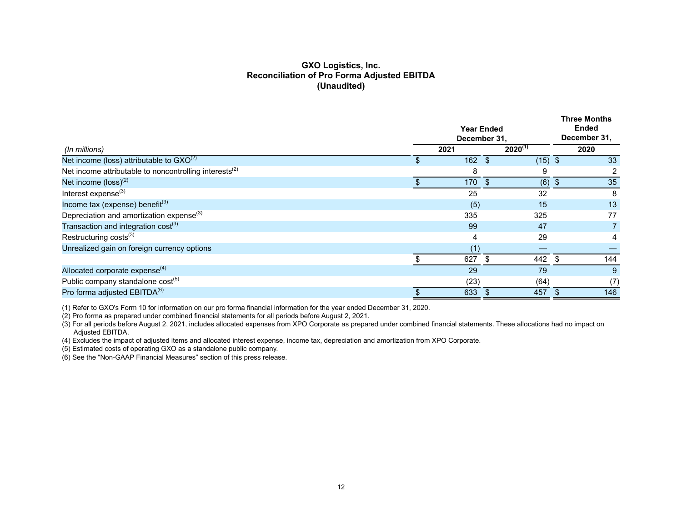## **GXO Logistics, Inc. Reconciliation of Pro Forma Adjusted EBITDA (Unaudited)**

| $2020^{(1)}$<br>2021<br>2020<br>(In millions)<br>Net income (loss) attributable to $GXO^{(2)}$<br>162<br>33<br><b>S</b><br>$(15)$ \$<br>\$.<br>Net income attributable to noncontrolling interests <sup>(2)</sup><br>9<br>8<br>Net income $(logs)^{(2)}$<br>35<br>170<br>(6)<br>\$<br>Interest expense $(3)$<br>25<br>32<br>8<br>Income tax (expense) benefit $(3)$<br>15<br>13<br>(5)<br>Depreciation and amortization expense <sup>(3)</sup><br>77<br>335<br>325<br>Transaction and integration $cost^{(3)}$<br>47<br>99<br>Restructuring costs <sup>(3)</sup><br>29<br>4<br>4<br>Unrealized gain on foreign currency options<br>ad<br>627<br>144<br>442<br>S.<br>\$.<br>Allocated corporate expense <sup>(4)</sup><br>29<br>79<br>9<br>Public company standalone cost <sup>(5)</sup><br>(64)<br>(23)<br>(7) |                                          | <b>Year Ended</b><br>December 31, |     | <b>Three Months</b><br><b>Ended</b><br>December 31, |
|----------------------------------------------------------------------------------------------------------------------------------------------------------------------------------------------------------------------------------------------------------------------------------------------------------------------------------------------------------------------------------------------------------------------------------------------------------------------------------------------------------------------------------------------------------------------------------------------------------------------------------------------------------------------------------------------------------------------------------------------------------------------------------------------------------------|------------------------------------------|-----------------------------------|-----|-----------------------------------------------------|
|                                                                                                                                                                                                                                                                                                                                                                                                                                                                                                                                                                                                                                                                                                                                                                                                                |                                          |                                   |     |                                                     |
|                                                                                                                                                                                                                                                                                                                                                                                                                                                                                                                                                                                                                                                                                                                                                                                                                |                                          |                                   |     |                                                     |
|                                                                                                                                                                                                                                                                                                                                                                                                                                                                                                                                                                                                                                                                                                                                                                                                                |                                          |                                   |     |                                                     |
|                                                                                                                                                                                                                                                                                                                                                                                                                                                                                                                                                                                                                                                                                                                                                                                                                |                                          |                                   |     |                                                     |
|                                                                                                                                                                                                                                                                                                                                                                                                                                                                                                                                                                                                                                                                                                                                                                                                                |                                          |                                   |     |                                                     |
|                                                                                                                                                                                                                                                                                                                                                                                                                                                                                                                                                                                                                                                                                                                                                                                                                |                                          |                                   |     |                                                     |
|                                                                                                                                                                                                                                                                                                                                                                                                                                                                                                                                                                                                                                                                                                                                                                                                                |                                          |                                   |     |                                                     |
|                                                                                                                                                                                                                                                                                                                                                                                                                                                                                                                                                                                                                                                                                                                                                                                                                |                                          |                                   |     |                                                     |
|                                                                                                                                                                                                                                                                                                                                                                                                                                                                                                                                                                                                                                                                                                                                                                                                                |                                          |                                   |     |                                                     |
|                                                                                                                                                                                                                                                                                                                                                                                                                                                                                                                                                                                                                                                                                                                                                                                                                |                                          |                                   |     |                                                     |
|                                                                                                                                                                                                                                                                                                                                                                                                                                                                                                                                                                                                                                                                                                                                                                                                                |                                          |                                   |     |                                                     |
|                                                                                                                                                                                                                                                                                                                                                                                                                                                                                                                                                                                                                                                                                                                                                                                                                |                                          |                                   |     |                                                     |
|                                                                                                                                                                                                                                                                                                                                                                                                                                                                                                                                                                                                                                                                                                                                                                                                                |                                          |                                   |     |                                                     |
|                                                                                                                                                                                                                                                                                                                                                                                                                                                                                                                                                                                                                                                                                                                                                                                                                | Pro forma adjusted EBITDA <sup>(6)</sup> | 633                               | 457 | 146                                                 |

(1) Refer to GXO's Form 10 for information on our pro forma financial information for the year ended December 31, 2020.

(2) Pro forma as prepared under combined financial statements for all periods before August 2, 2021.

(3) For all periods before August 2, 2021, includes allocated expenses from XPO Corporate as prepared under combined financial statements. These allocations had no impact on Adjusted EBITDA.

(4) Excludes the impact of adjusted items and allocated interest expense, income tax, depreciation and amortization from XPO Corporate.

(5) Estimated costs of operating GXO as a standalone public company.

(6) See the "Non-GAAP Financial Measures" section of this press release.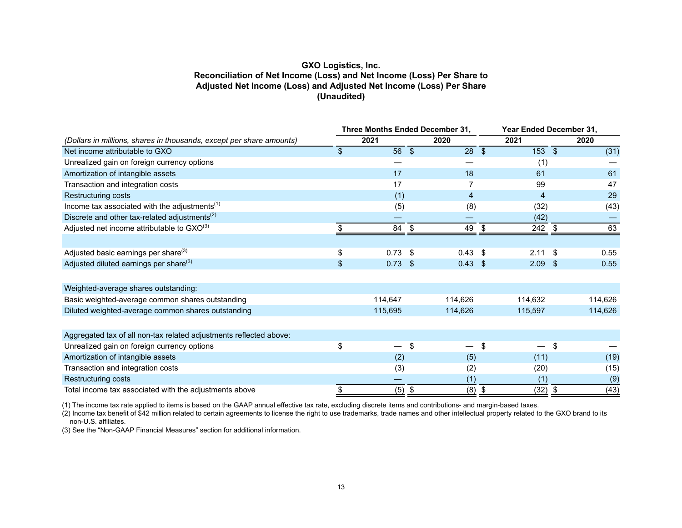## **GXO Logistics, Inc. Reconciliation of Net Income (Loss) and Net Income (Loss) Per Share to Adjusted Net Income (Loss) and Adjusted Net Income (Loss) Per Share (Unaudited)**

|                                                                      | Three Months Ended December 31, |          |            | Year Ended December 31, |                           |                |    |         |
|----------------------------------------------------------------------|---------------------------------|----------|------------|-------------------------|---------------------------|----------------|----|---------|
| (Dollars in millions, shares in thousands, except per share amounts) |                                 | 2021     |            | 2020                    |                           | 2021           |    | 2020    |
| Net income attributable to GXO                                       | $\mathcal{S}$                   | 56       | $\sqrt{2}$ | 28                      | $\sqrt[6]{\frac{1}{2}}$   | $153$ \$       |    | (31)    |
| Unrealized gain on foreign currency options                          |                                 |          |            |                         |                           | (1)            |    |         |
| Amortization of intangible assets                                    |                                 | 17       |            | 18                      |                           | 61             |    | 61      |
| Transaction and integration costs                                    |                                 | 17       |            | 7                       |                           | 99             |    | 47      |
| Restructuring costs                                                  |                                 | (1)      |            | 4                       |                           | $\overline{4}$ |    | 29      |
| Income tax associated with the adjustments <sup>(1)</sup>            |                                 | (5)      |            | (8)                     |                           | (32)           |    | (43)    |
| Discrete and other tax-related adjustments <sup>(2)</sup>            |                                 |          |            |                         |                           | (42)           |    |         |
| Adjusted net income attributable to $GXO^{(3)}$                      |                                 | 84       | \$         | 49                      | \$                        | 242 \$         |    | 63      |
|                                                                      |                                 |          |            |                         |                           |                |    |         |
| Adjusted basic earnings per share <sup>(3)</sup>                     | \$                              | 0.73     | \$         | 0.43                    | -S                        | 2.11           | \$ | 0.55    |
| Adjusted diluted earnings per share <sup>(3)</sup>                   | \$                              | 0.73     | -\$        | $0.43 \quad $$          |                           | $2.09$ \$      |    | 0.55    |
|                                                                      |                                 |          |            |                         |                           |                |    |         |
| Weighted-average shares outstanding:                                 |                                 |          |            |                         |                           |                |    |         |
| Basic weighted-average common shares outstanding                     |                                 | 114,647  |            | 114,626                 |                           | 114,632        |    | 114,626 |
| Diluted weighted-average common shares outstanding                   |                                 | 115,695  |            | 114,626                 |                           | 115,597        |    | 114,626 |
|                                                                      |                                 |          |            |                         |                           |                |    |         |
| Aggregated tax of all non-tax related adjustments reflected above:   |                                 |          |            |                         |                           |                |    |         |
| Unrealized gain on foreign currency options                          | \$                              |          | \$         |                         | \$                        |                | \$ |         |
| Amortization of intangible assets                                    |                                 | (2)      |            | (5)                     |                           | (11)           |    | (19)    |
| Transaction and integration costs                                    |                                 | (3)      |            | (2)                     |                           | (20)           |    | (15)    |
| Restructuring costs                                                  |                                 |          |            | (1)                     |                           | (1)            |    | (9)     |
| Total income tax associated with the adjustments above               | \$                              | $(5)$ \$ |            | (8)                     | $\boldsymbol{\mathsf{S}}$ | $(32)$ \$      |    | (43)    |

(1) The income tax rate applied to items is based on the GAAP annual effective tax rate, excluding discrete items and contributions- and margin-based taxes.

 $(2)$  Income tax benefit of \$42 million related to certain agreements to license the right to use trademarks, trade names and other intellectual property related to the GXO brand to its non-U.S. affiliates.

(3) See the "Non-GAAP Financial Measures" section for additional information.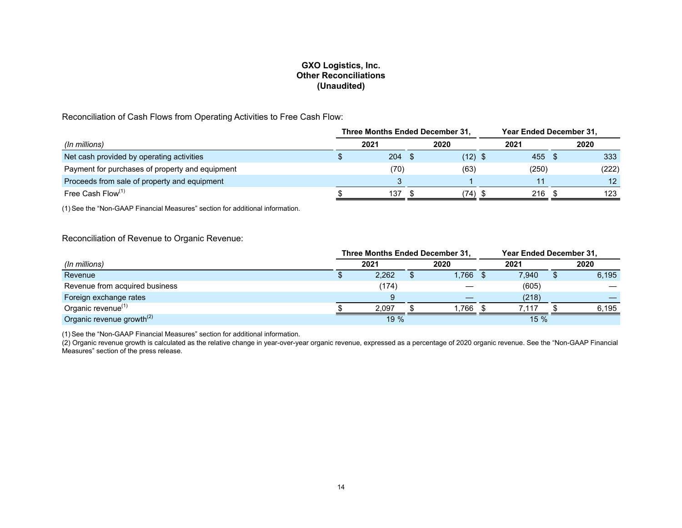## **GXO Logistics, Inc. Other Reconciliations (Unaudited)**

Reconciliation of Cash Flows from Operating Activities to Free Cash Flow:

|                                                 | Three Months Ended December 31, |      |  |           |  | Year Ended December 31, |  |       |  |
|-------------------------------------------------|---------------------------------|------|--|-----------|--|-------------------------|--|-------|--|
| (In millions)                                   |                                 | 2021 |  | 2020      |  | 2021                    |  | 2020  |  |
| Net cash provided by operating activities       |                                 | 204  |  | $(12)$ \$ |  | 455                     |  | 333   |  |
| Payment for purchases of property and equipment |                                 | (70) |  | (63)      |  | (250)                   |  | (222) |  |
| Proceeds from sale of property and equipment    |                                 |      |  |           |  | 11                      |  | 12    |  |
| Free Cash Flow <sup>(1)</sup>                   |                                 | 137  |  | (74)      |  | 216                     |  | 123   |  |

(1) See the "Non-GAAP Financial Measures" section for additional information.

## Reconciliation of Revenue to Organic Revenue:

|                                       |       | Three Months Ended December 31, | Year Ended December 31, |       |  |       |  |
|---------------------------------------|-------|---------------------------------|-------------------------|-------|--|-------|--|
| (In millions)                         | 2021  | 2020                            |                         | 2021  |  | 2020  |  |
| Revenue                               | 2,262 | 1,766                           | - 55                    | 7,940 |  | 6,195 |  |
| Revenue from acquired business        | (174) |                                 |                         | (605) |  |       |  |
| Foreign exchange rates                |       | __                              |                         | (218) |  |       |  |
| Organic revenue <sup>(1)</sup>        | 2.097 | 1.766                           |                         | .117  |  | 6,195 |  |
| Organic revenue growth <sup>(2)</sup> | 19 %  |                                 |                         | 15%   |  |       |  |

(1) See the "Non-GAAP Financial Measures" section for additional information.

(2) Organic revenue growth is calculated as the relative change in year-over-year organic revenue, expressed as a percentage of 2020 organic revenue. See the "Non-GAAP Financial Measures" section of the press release.